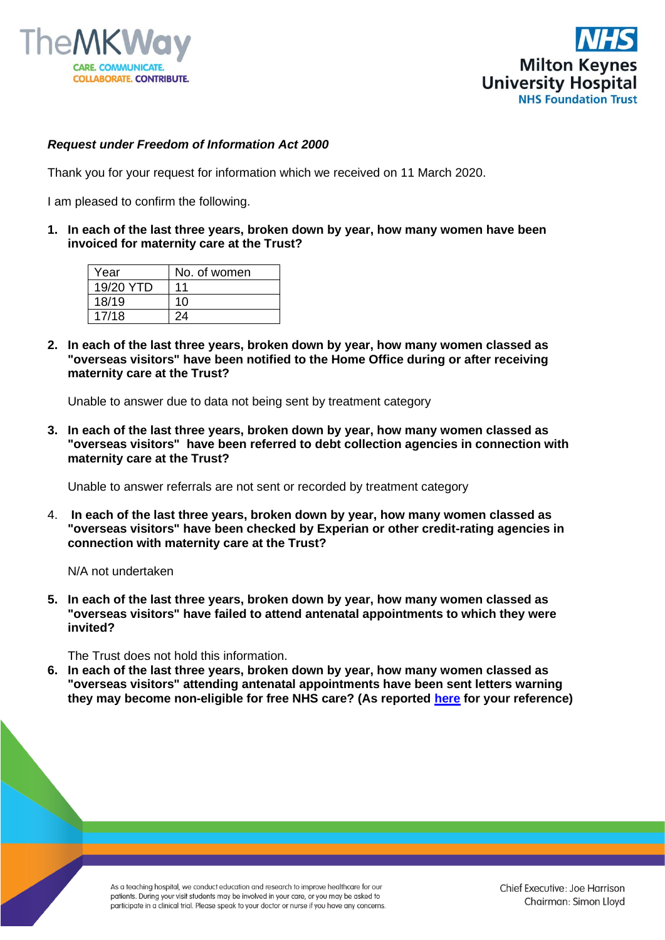



## *Request under Freedom of Information Act 2000*

Thank you for your request for information which we received on 11 March 2020.

I am pleased to confirm the following.

**1. In each of the last three years, broken down by year, how many women have been invoiced for maternity care at the Trust?**

| Year      | No. of women |
|-----------|--------------|
| 19/20 YTD | 11           |
| 18/19     | 10           |
| 17/18     | 24           |

**2. In each of the last three years, broken down by year, how many women classed as "overseas visitors" have been notified to the Home Office during or after receiving maternity care at the Trust?**

Unable to answer due to data not being sent by treatment category

**3. In each of the last three years, broken down by year, how many women classed as "overseas visitors" have been referred to debt collection agencies in connection with maternity care at the Trust?**

Unable to answer referrals are not sent or recorded by treatment category

4. **In each of the last three years, broken down by year, how many women classed as "overseas visitors" have been checked by Experian or other credit-rating agencies in connection with maternity care at the Trust?**

N/A not undertaken

**5. In each of the last three years, broken down by year, how many women classed as "overseas visitors" have failed to attend antenatal appointments to which they were invited?**

The Trust does not hold this information.

**6. In each of the last three years, broken down by year, how many women classed as "overseas visitors" attending antenatal appointments have been sent letters warning they may become non-eligible for free NHS care? (As reported [here](https://gbr01.safelinks.protection.outlook.com/?url=https%3A%2F%2Fwww.theguardian.com%2Fuk-news%2F2017%2Fmar%2F20%2Fpregnant-asylum-seekers-refugees-afraid-seek-nhs-maternity-care&data=02%7C01%7CFoi.PublicationSchemeCo-ordinator%40mkuh.nhs.uk%7Ce1c431f93683490ee47608d7d62c9041%7Ce96dd0a15d474a949e4a5c1056daa82c%7C0%7C0%7C637213359189534174&sdata=I%2FAoEzEruxK%2Bf7iysDY5yxsYDVvg1Kt9s6CaLDJI1WY%3D&reserved=0) for your reference)**

> As a teaching hospital, we conduct education and research to improve healthcare for our patients. During your visit students may be involved in your care, or you may be asked to participate in a clinical trial. Please speak to your doctor or nurse if you have any concerns.

Chief Executive: Joe Harrison Chairman: Simon Lloyd